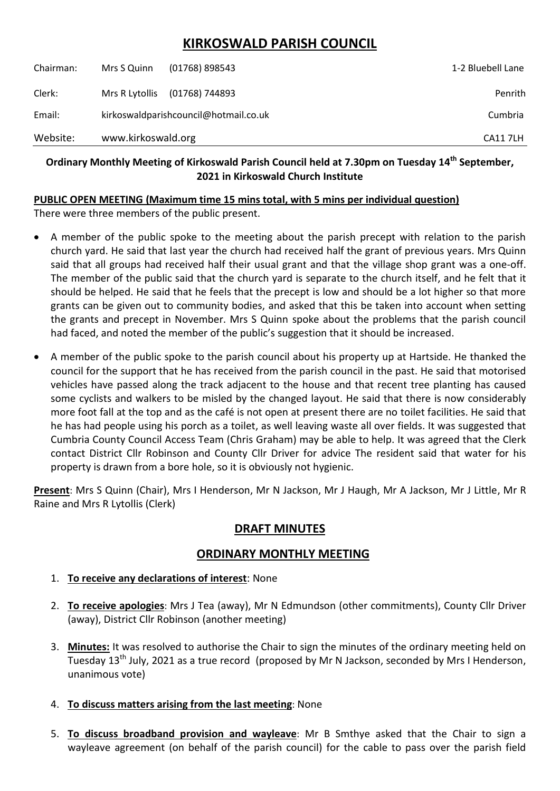# **KIRKOSWALD PARISH COUNCIL**

| Website:  | www.kirkoswald.org                    |                  | <b>CA117LH</b>    |
|-----------|---------------------------------------|------------------|-------------------|
| Email:    | kirkoswaldparishcouncil@hotmail.co.uk |                  | Cumbria           |
| Clerk:    | Mrs R Lytollis                        | (01768) 744893   | Penrith           |
| Chairman: | Mrs S Quinn                           | $(01768)$ 898543 | 1-2 Bluebell Lane |

### **Ordinary Monthly Meeting of Kirkoswald Parish Council held at 7.30pm on Tuesday 14th September, 2021 in Kirkoswald Church Institute**

#### **PUBLIC OPEN MEETING (Maximum time 15 mins total, with 5 mins per individual question)**

There were three members of the public present.

- A member of the public spoke to the meeting about the parish precept with relation to the parish church yard. He said that last year the church had received half the grant of previous years. Mrs Quinn said that all groups had received half their usual grant and that the village shop grant was a one-off. The member of the public said that the church yard is separate to the church itself, and he felt that it should be helped. He said that he feels that the precept is low and should be a lot higher so that more grants can be given out to community bodies, and asked that this be taken into account when setting the grants and precept in November. Mrs S Quinn spoke about the problems that the parish council had faced, and noted the member of the public's suggestion that it should be increased.
- A member of the public spoke to the parish council about his property up at Hartside. He thanked the council for the support that he has received from the parish council in the past. He said that motorised vehicles have passed along the track adjacent to the house and that recent tree planting has caused some cyclists and walkers to be misled by the changed layout. He said that there is now considerably more foot fall at the top and as the café is not open at present there are no toilet facilities. He said that he has had people using his porch as a toilet, as well leaving waste all over fields. It was suggested that Cumbria County Council Access Team (Chris Graham) may be able to help. It was agreed that the Clerk contact District Cllr Robinson and County Cllr Driver for advice The resident said that water for his property is drawn from a bore hole, so it is obviously not hygienic.

**Present**: Mrs S Quinn (Chair), Mrs I Henderson, Mr N Jackson, Mr J Haugh, Mr A Jackson, Mr J Little, Mr R Raine and Mrs R Lytollis (Clerk)

# **DRAFT MINUTES**

# **ORDINARY MONTHLY MEETING**

- 1. **To receive any declarations of interest**: None
- 2. **To receive apologies**: Mrs J Tea (away), Mr N Edmundson (other commitments), County Cllr Driver (away), District Cllr Robinson (another meeting)
- 3. **Minutes:** It was resolved to authorise the Chair to sign the minutes of the ordinary meeting held on Tuesday 13<sup>th</sup> July, 2021 as a true record (proposed by Mr N Jackson, seconded by Mrs I Henderson, unanimous vote)
- 4. **To discuss matters arising from the last meeting**: None
- 5. **To discuss broadband provision and wayleave**: Mr B Smthye asked that the Chair to sign a wayleave agreement (on behalf of the parish council) for the cable to pass over the parish field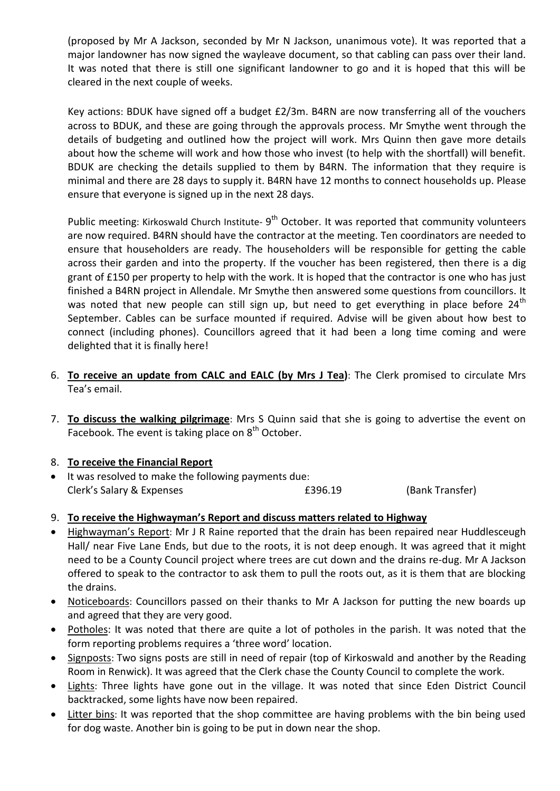(proposed by Mr A Jackson, seconded by Mr N Jackson, unanimous vote). It was reported that a major landowner has now signed the wayleave document, so that cabling can pass over their land. It was noted that there is still one significant landowner to go and it is hoped that this will be cleared in the next couple of weeks.

Key actions: BDUK have signed off a budget £2/3m. B4RN are now transferring all of the vouchers across to BDUK, and these are going through the approvals process. Mr Smythe went through the details of budgeting and outlined how the project will work. Mrs Quinn then gave more details about how the scheme will work and how those who invest (to help with the shortfall) will benefit. BDUK are checking the details supplied to them by B4RN. The information that they require is minimal and there are 28 days to supply it. B4RN have 12 months to connect households up. Please ensure that everyone is signed up in the next 28 days.

Public meeting: Kirkoswald Church Institute- 9<sup>th</sup> October. It was reported that community volunteers are now required. B4RN should have the contractor at the meeting. Ten coordinators are needed to ensure that householders are ready. The householders will be responsible for getting the cable across their garden and into the property. If the voucher has been registered, then there is a dig grant of £150 per property to help with the work. It is hoped that the contractor is one who has just finished a B4RN project in Allendale. Mr Smythe then answered some questions from councillors. It was noted that new people can still sign up, but need to get everything in place before  $24<sup>th</sup>$ September. Cables can be surface mounted if required. Advise will be given about how best to connect (including phones). Councillors agreed that it had been a long time coming and were delighted that it is finally here!

- 6. **To receive an update from CALC and EALC (by Mrs J Tea)**: The Clerk promised to circulate Mrs Tea's email.
- 7. **To discuss the walking pilgrimage**: Mrs S Quinn said that she is going to advertise the event on Facebook. The event is taking place on 8<sup>th</sup> October.

#### 8. **To receive the Financial Report**

- It was resolved to make the following payments due: Clerk's Salary & Expenses **EXPENSIFY EXPENSIFY** E396.19 (Bank Transfer)
- 9. **To receive the Highwayman's Report and discuss matters related to Highway**
- Highwayman's Report: Mr J R Raine reported that the drain has been repaired near Huddlesceugh Hall/ near Five Lane Ends, but due to the roots, it is not deep enough. It was agreed that it might need to be a County Council project where trees are cut down and the drains re-dug. Mr A Jackson offered to speak to the contractor to ask them to pull the roots out, as it is them that are blocking the drains.
- Noticeboards: Councillors passed on their thanks to Mr A Jackson for putting the new boards up and agreed that they are very good.
- Potholes: It was noted that there are quite a lot of potholes in the parish. It was noted that the form reporting problems requires a 'three word' location.
- Signposts: Two signs posts are still in need of repair (top of Kirkoswald and another by the Reading Room in Renwick). It was agreed that the Clerk chase the County Council to complete the work.
- Lights: Three lights have gone out in the village. It was noted that since Eden District Council backtracked, some lights have now been repaired.
- Litter bins: It was reported that the shop committee are having problems with the bin being used for dog waste. Another bin is going to be put in down near the shop.